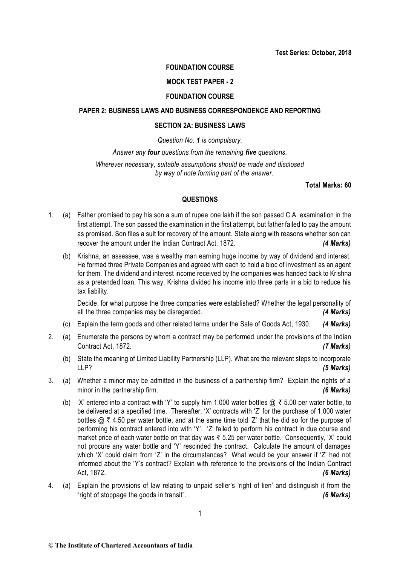# **FOUNDATION COURSE**

## **MOCK TEST PAPER - 2**

## **FOUNDATION COURSE**

# **PAPER 2: BUSINESS LAWS AND BUSINESS CORRESPONDENCE AND REPORTING**

## **SECTION 2A: BUSINESS LAWS**

# *Question No. 1 is compulsory.*

## *Answer any four questions from the remaining five questions.*

*Wherever necessary, suitable assumptions should be made and disclosed by way of note forming part of the answer.*

**Total Marks: 60**

# **QUESTIONS**

- 1. (a) Father promised to pay his son a sum of rupee one lakh if the son passed C.A. examination in the first attempt. The son passed the examination in the first attempt, but father failed to pay the amount as promised. Son files a suit for recovery of the amount. State along with reasons whether son can recover the amount under the Indian Contract Act, 1872. *(4 Marks)*
	- (b) Krishna, an assessee, was a wealthy man earning huge income by way of dividend and interest. He formed three Private Companies and agreed with each to hold a bloc of investment as an agent for them. The dividend and interest income received by the companies was handed back to Krishna as a pretended loan. This way, Krishna divided his income into three parts in a bid to reduce his tax liability.

Decide, for what purpose the three companies were established? Whether the legal personality of all the three companies may be disregarded. *(4 Marks)*

- (c) Explain the term goods and other related terms under the Sale of Goods Act, 1930. *(4 Marks)*
- 2. (a) Enumerate the persons by whom a contract may be performed under the provisions of the Indian Contract Act, 1872. *(7 Marks)*
	- (b) State the meaning of Limited Liability Partnership (LLP). What are the relevant steps to incorporate LLP? *(5 Marks)*
- 3. (a) Whether a minor may be admitted in the business of a partnership firm? Explain the rights of a minor in the partnership firm. *(6 Marks)* 
	- (b) 'X' entered into a contract with 'Y' to supply him 1,000 water bottles  $\omega \bar{\tau}$  5.00 per water bottle, to be delivered at a specified time. Thereafter, 'X' contracts with 'Z' for the purchase of 1,000 water bottles  $\omega \, \bar{\tau}$  4.50 per water bottle, and at the same time told 'Z' that he did so for the purpose of performing his contract entered into with 'Y'. 'Z' failed to perform his contract in due course and market price of each water bottle on that day was  $\bar{\tau}$  5.25 per water bottle. Consequently, 'X' could not procure any water bottle and 'Y' rescinded the contract. Calculate the amount of damages which 'X' could claim from 'Z' in the circumstances? What would be your answer if 'Z' had not informed about the 'Y's contract? Explain with reference to the provisions of the Indian Contract Act, 1872. *(6 Marks)*
- 4. (a) Explain the provisions of law relating to unpaid seller's 'right of lien' and distinguish it from the "right of stoppage the goods in transit". *(6 Marks)*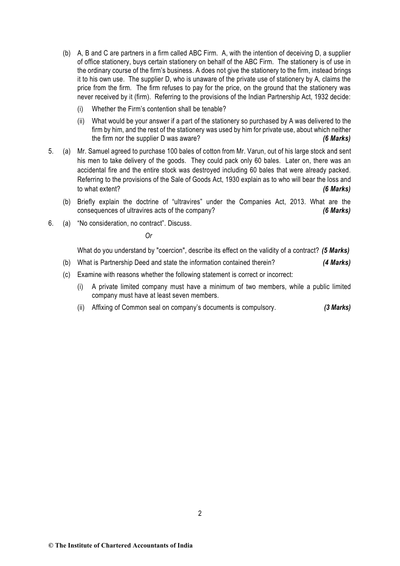- (b) A, B and C are partners in a firm called ABC Firm. A, with the intention of deceiving D, a supplier of office stationery, buys certain stationery on behalf of the ABC Firm. The stationery is of use in the ordinary course of the firm's business. A does not give the stationery to the firm, instead brings it to his own use. The supplier D, who is unaware of the private use of stationery by A, claims the price from the firm. The firm refuses to pay for the price, on the ground that the stationery was never received by it (firm). Referring to the provisions of the Indian Partnership Act, 1932 decide:
	- (i) Whether the Firm's contention shall be tenable?
	- (ii) What would be your answer if a part of the stationery so purchased by A was delivered to the firm by him, and the rest of the stationery was used by him for private use, about which neither the firm nor the supplier D was aware? *(6 Marks)*
- 5. (a) Mr. Samuel agreed to purchase 100 bales of cotton from Mr. Varun, out of his large stock and sent his men to take delivery of the goods. They could pack only 60 bales. Later on, there was an accidental fire and the entire stock was destroyed including 60 bales that were already packed. Referring to the provisions of the Sale of Goods Act, 1930 explain as to who will bear the loss and to what extent? *(6 Marks)*
	- (b) Briefly explain the doctrine of "ultravires" under the Companies Act, 2013. What are the consequences of ultravires acts of the company? *(6 Marks)*
- 6. (a) "No consideration, no contract". Discuss.

*Or*

What do you understand by "coercion", describe its effect on the validity of a contract? *(5 Marks)*

- (b) What is Partnership Deed and state the information contained therein? *(4 Marks)*
- (c) Examine with reasons whether the following statement is correct or incorrect:
	- (i) A private limited company must have a minimum of two members, while a public limited company must have at least seven members.
	- (ii) Affixing of Common seal on company's documents is compulsory. *(3 Marks)*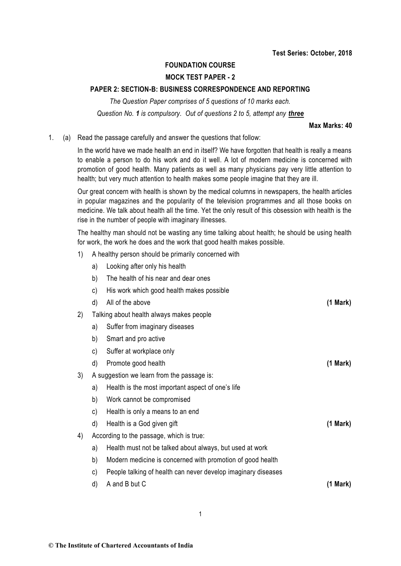# **FOUNDATION COURSE**

# **MOCK TEST PAPER - 2**

## **PAPER 2: SECTION-B: BUSINESS CORRESPONDENCE AND REPORTING**

*The Question Paper comprises of 5 questions of 10 marks each. Question No. 1 is compulsory. Out of questions 2 to 5, attempt any three*

#### **Max Marks: 40**

1. (a) Read the passage carefully and answer the questions that follow:

In the world have we made health an end in itself? We have forgotten that health is really a means to enable a person to do his work and do it well. A lot of modern medicine is concerned with promotion of good health. Many patients as well as many physicians pay very little attention to health; but very much attention to health makes some people imagine that they are ill.

Our great concern with health is shown by the medical columns in newspapers, the health articles in popular magazines and the popularity of the television programmes and all those books on medicine. We talk about health all the time. Yet the only result of this obsession with health is the rise in the number of people with imaginary illnesses.

The healthy man should not be wasting any time talking about health; he should be using health for work, the work he does and the work that good health makes possible.

- 1) A healthy person should be primarily concerned with
	- a) Looking after only his health
	- b) The health of his near and dear ones
	- c) His work which good health makes possible
- d) All of the above **(1 Mark)** 2) Talking about health always makes people a) Suffer from imaginary diseases b) Smart and pro active c) Suffer at workplace only d) Promote good health **(1 Mark)** 3) A suggestion we learn from the passage is:
	- a) Health is the most important aspect of one's life
	- b) Work cannot be compromised
	- c) Health is only a means to an end
	- d) Health is a God given gift **(1 Mark)**
- 4) According to the passage, which is true:
	- a) Health must not be talked about always, but used at work
	- b) Modern medicine is concerned with promotion of good health
	- c) People talking of health can never develop imaginary diseases
	- d) A and B but C **(1 Mark)**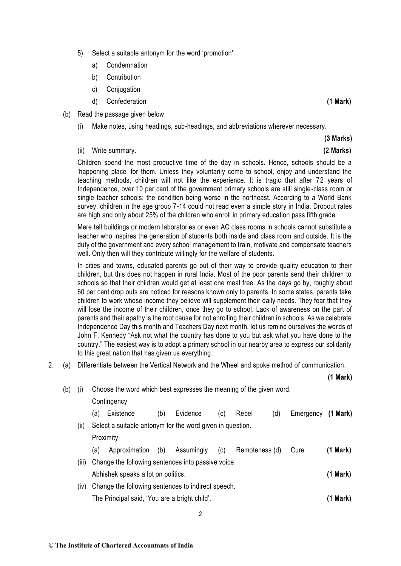- 5) Select a suitable antonym for the word 'promotion'
	- a) Condemnation
	- b) Contribution
	- c) Conjugation
	- d) Confederation **(1 Mark)**
- (b) Read the passage given below.
	- (i) Make notes, using headings, sub-headings, and abbreviations wherever necessary.

**(3 Marks)**

## (ii) Write summary. **(2 Marks)**

Children spend the most productive time of the day in schools. Hence, schools should be a 'happening place' for them. Unless they voluntarily come to school, enjoy and understand the teaching methods, children will not like the experience. It is tragic that after 72 years of Independence, over 10 per cent of the government primary schools are still single-class room or single teacher schools; the condition being worse in the northeast. According to a World Bank survey, children in the age group 7-14 could not read even a simple story in India. Dropout rates are high and only about 25% of the children who enroll in primary education pass fifth grade.

Mere tall buildings or modern laboratories or even AC class rooms in schools cannot substitute a teacher who inspires the generation of students both inside and class room and outside. It is the duty of the government and every school management to train, motivate and compensate teachers well. Only then will they contribute willingly for the welfare of students.

In cities and towns, educated parents go out of their way to provide quality education to their children, but this does not happen in rural India. Most of the poor parents send their children to schools so that their children would get at least one meal free. As the days go by, roughly about 60 per cent drop outs are noticed for reasons known only to parents. In some states, parents take children to work whose income they believe will supplement their daily needs. They fear that they will lose the income of their children, once they go to school. Lack of awareness on the part of parents and their apathy is the root cause for not enrolling their children in schools. As we celebrate Independence Day this month and Teachers Day next month, let us remind ourselves the words of John F. Kennedy "Ask not what the country has done to you but ask what you have done to the country." The easiest way is to adopt a primary school in our nearby area to express our solidarity to this great nation that has given us everything.

2. (a) Differentiate between the Vertical Network and the Wheel and spoke method of communication.

**(1 Mark)**

| (b) | (i)   | Choose the word which best expresses the meaning of the given word. |               |     |            |     |                |     |           |               |  |  |
|-----|-------|---------------------------------------------------------------------|---------------|-----|------------|-----|----------------|-----|-----------|---------------|--|--|
|     |       | Contingency                                                         |               |     |            |     |                |     |           |               |  |  |
|     |       | (a)                                                                 | Existence     | (b) | Evidence   | (c) | Rebel          | (d) | Emergency | $(1$ Mark $)$ |  |  |
|     | (ii)  | Select a suitable antonym for the word given in question.           |               |     |            |     |                |     |           |               |  |  |
|     |       | Proximity                                                           |               |     |            |     |                |     |           |               |  |  |
|     |       | (a)                                                                 | Approximation | (b) | Assumingly | (c) | Remoteness (d) |     | Cure      | (1 Mark)      |  |  |
|     | (iii) | Change the following sentences into passive voice.                  |               |     |            |     |                |     |           |               |  |  |
|     |       | Abhishek speaks a lot on politics.                                  |               |     |            |     |                |     |           |               |  |  |
|     | (iv)  | Change the following sentences to indirect speech.                  |               |     |            |     |                |     |           |               |  |  |
|     |       | The Principal said, 'You are a bright child'.                       |               |     |            |     |                |     |           |               |  |  |
|     |       |                                                                     |               |     |            |     |                |     |           |               |  |  |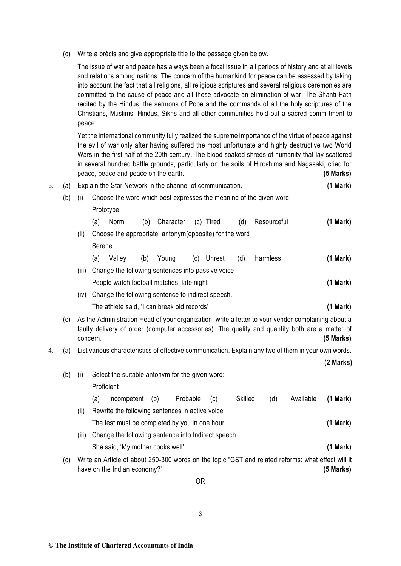(c) Write a précis and give appropriate title to the passage given below.

The issue of war and peace has always been a focal issue in all periods of history and at all levels and relations among nations. The concern of the humankind for peace can be assessed by taking into account the fact that all religions, all religious scriptures and several religious ceremonies are committed to the cause of peace and all these advocate an elimination of war. The Shanti Path recited by the Hindus, the sermons of Pope and the commands of all the holy scriptures of the Christians, Muslims, Hindus, Sikhs and all other communities hold out a sacred commi tment to peace.

Yet the international community fully realized the supreme importance of the virtue of peace against the evil of war only after having suffered the most unfortunate and highly destructive two World Wars in the first half of the 20th century. The blood soaked shreds of humanity that lay scattered in several hundred battle grounds, particularly on the soils of Hiroshima and Nagasaki, cried for peace, peace and peace on the earth. **(5 Marks)**

| 3. | (a)                                                                                                                                                                                                                     | Explain the Star Network in the channel of communication.                                                                                                                                                     |                                                                     |                                                         |     |           |          |           |                |             | (1 Mark)  |             |  |  |
|----|-------------------------------------------------------------------------------------------------------------------------------------------------------------------------------------------------------------------------|---------------------------------------------------------------------------------------------------------------------------------------------------------------------------------------------------------------|---------------------------------------------------------------------|---------------------------------------------------------|-----|-----------|----------|-----------|----------------|-------------|-----------|-------------|--|--|
|    | (b)                                                                                                                                                                                                                     | (i)                                                                                                                                                                                                           | Choose the word which best expresses the meaning of the given word. |                                                         |     |           |          |           |                |             |           |             |  |  |
|    |                                                                                                                                                                                                                         |                                                                                                                                                                                                               |                                                                     | Prototype                                               |     |           |          |           |                |             |           |             |  |  |
|    |                                                                                                                                                                                                                         |                                                                                                                                                                                                               | (a)                                                                 | Norm                                                    | (b) | Character |          | (c) Tired | (d)            | Resourceful |           | (1 Mark)    |  |  |
|    |                                                                                                                                                                                                                         | (ii)                                                                                                                                                                                                          |                                                                     | Choose the appropriate antonym(opposite) for the word   |     |           |          |           |                |             |           |             |  |  |
|    |                                                                                                                                                                                                                         |                                                                                                                                                                                                               |                                                                     | Serene                                                  |     |           |          |           |                |             |           |             |  |  |
|    |                                                                                                                                                                                                                         |                                                                                                                                                                                                               | (a)                                                                 | Valley                                                  | (b) | Young     | (c)      | Unrest    | (d)            | Harmless    |           | (1 Mark)    |  |  |
|    |                                                                                                                                                                                                                         | (iii)                                                                                                                                                                                                         |                                                                     | Change the following sentences into passive voice       |     |           |          |           |                |             |           |             |  |  |
|    |                                                                                                                                                                                                                         | People watch football matches late night                                                                                                                                                                      |                                                                     |                                                         |     |           |          |           |                |             |           | (1 Mark)    |  |  |
|    |                                                                                                                                                                                                                         | (iv)                                                                                                                                                                                                          | Change the following sentence to indirect speech.                   |                                                         |     |           |          |           |                |             |           |             |  |  |
|    |                                                                                                                                                                                                                         |                                                                                                                                                                                                               |                                                                     | (1 Mark)<br>The athlete said, 'I can break old records' |     |           |          |           |                |             |           |             |  |  |
|    | As the Administration Head of your organization, write a letter to your vendor complaining about a<br>(c)<br>faulty delivery of order (computer accessories). The quality and quantity both are a matter of<br>concern. |                                                                                                                                                                                                               |                                                                     |                                                         |     |           |          |           |                | $(5$ Marks) |           |             |  |  |
| 4. | (a)                                                                                                                                                                                                                     | List various characteristics of effective communication. Explain any two of them in your own words.                                                                                                           |                                                                     |                                                         |     |           |          |           |                |             |           |             |  |  |
|    |                                                                                                                                                                                                                         |                                                                                                                                                                                                               |                                                                     |                                                         |     |           |          |           |                |             |           | (2 Marks)   |  |  |
|    | (b)                                                                                                                                                                                                                     | Select the suitable antonym for the given word:<br>(i)                                                                                                                                                        |                                                                     |                                                         |     |           |          |           |                |             |           |             |  |  |
|    |                                                                                                                                                                                                                         |                                                                                                                                                                                                               | Proficient                                                          |                                                         |     |           |          |           |                |             |           |             |  |  |
|    |                                                                                                                                                                                                                         |                                                                                                                                                                                                               | (a)                                                                 | Incompetent                                             |     | (b)       | Probable | (c)       | <b>Skilled</b> | (d)         | Available | (1 Mark)    |  |  |
|    |                                                                                                                                                                                                                         | (ii)<br>Rewrite the following sentences in active voice<br>The test must be completed by you in one hour.<br>Change the following sentence into Indirect speech.<br>(iii)<br>She said, 'My mother cooks well' |                                                                     |                                                         |     |           |          |           |                |             |           |             |  |  |
|    |                                                                                                                                                                                                                         |                                                                                                                                                                                                               |                                                                     |                                                         |     |           |          |           |                |             |           | (1 Mark)    |  |  |
|    |                                                                                                                                                                                                                         |                                                                                                                                                                                                               |                                                                     |                                                         |     |           |          |           |                |             |           |             |  |  |
|    |                                                                                                                                                                                                                         |                                                                                                                                                                                                               |                                                                     |                                                         |     |           |          |           |                |             |           | (1 Mark)    |  |  |
|    | (c)                                                                                                                                                                                                                     | Write an Article of about 250-300 words on the topic "GST and related reforms: what effect will it<br>have on the Indian economy?"                                                                            |                                                                     |                                                         |     |           |          |           |                |             |           | $(5$ Marks) |  |  |

OR